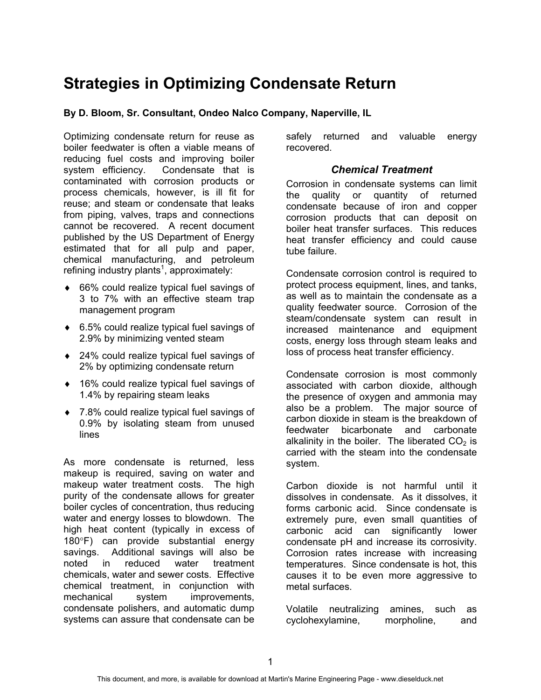# **Strategies in Optimizing Condensate Return**

**By D. Bloom, Sr. Consultant, Ondeo Nalco Company, Naperville, IL**

Optimizing condensate return for reuse as boiler feedwater is often a viable means of reducing fuel costs and improving boiler system efficiency. Condensate that is contaminated with corrosion products or process chemicals, however, is ill fit for reuse; and steam or condensate that leaks from piping, valves, traps and connections cannot be recovered. A recent document published by the US Department of Energy estimated that for all pulp and paper, chemical manufacturing, and petroleum refining industry plants<sup>1</sup>, approximately:

- ♦ 66% could realize typical fuel savings of 3 to 7% with an effective steam trap management program
- ♦ 6.5% could realize typical fuel savings of 2.9% by minimizing vented steam
- ♦ 24% could realize typical fuel savings of 2% by optimizing condensate return
- ♦ 16% could realize typical fuel savings of 1.4% by repairing steam leaks
- ♦ 7.8% could realize typical fuel savings of 0.9% by isolating steam from unused lines

As more condensate is returned, less makeup is required, saving on water and makeup water treatment costs. The high purity of the condensate allows for greater boiler cycles of concentration, thus reducing water and energy losses to blowdown. The high heat content (typically in excess of 180°F) can provide substantial energy savings. Additional savings will also be noted in reduced water treatment chemicals, water and sewer costs. Effective chemical treatment, in conjunction with mechanical system improvements, condensate polishers, and automatic dump systems can assure that condensate can be

safely returned and valuable energy recovered.

# *Chemical Treatment*

Corrosion in condensate systems can limit the quality or quantity of returned condensate because of iron and copper corrosion products that can deposit on boiler heat transfer surfaces. This reduces heat transfer efficiency and could cause tube failure.

Condensate corrosion control is required to protect process equipment, lines, and tanks, as well as to maintain the condensate as a quality feedwater source. Corrosion of the steam/condensate system can result in increased maintenance and equipment costs, energy loss through steam leaks and loss of process heat transfer efficiency.

Condensate corrosion is most commonly associated with carbon dioxide, although the presence of oxygen and ammonia may also be a problem. The major source of carbon dioxide in steam is the breakdown of feedwater bicarbonate and carbonate alkalinity in the boiler. The liberated  $CO<sub>2</sub>$  is carried with the steam into the condensate system.

Carbon dioxide is not harmful until it dissolves in condensate. As it dissolves, it forms carbonic acid. Since condensate is extremely pure, even small quantities of carbonic acid can significantly lower condensate pH and increase its corrosivity. Corrosion rates increase with increasing temperatures. Since condensate is hot, this causes it to be even more aggressive to metal surfaces.

Volatile neutralizing amines, such as cyclohexylamine, morpholine, and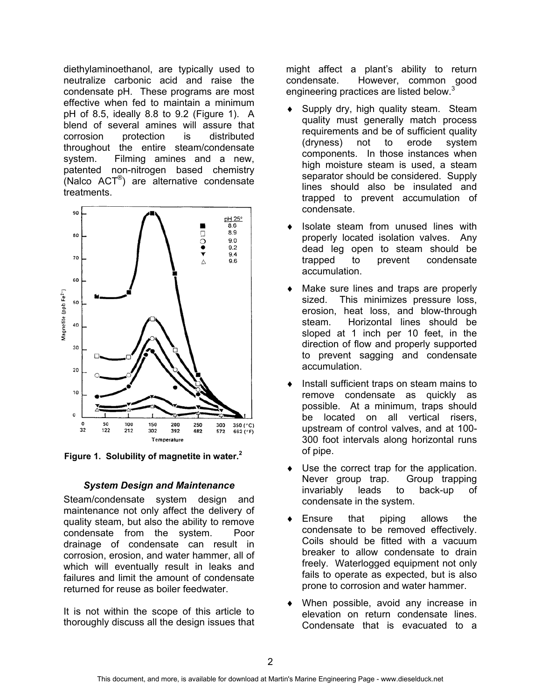diethylaminoethanol, are typically used to neutralize carbonic acid and raise the condensate pH. These programs are most effective when fed to maintain a minimum pH of 8.5, ideally 8.8 to 9.2 (Figure 1). A blend of several amines will assure that corrosion protection is distributed throughout the entire steam/condensate system. Filming amines and a new, patented non-nitrogen based chemistry (Nalco ACT®) are alternative condensate treatments.



**Figure 1. Solubility of magnetite in water.<sup>2</sup>**

## *System Design and Maintenance*

Steam/condensate system design and maintenance not only affect the delivery of quality steam, but also the ability to remove condensate from the system. Poor drainage of condensate can result in corrosion, erosion, and water hammer, all of which will eventually result in leaks and failures and limit the amount of condensate returned for reuse as boiler feedwater.

It is not within the scope of this article to thoroughly discuss all the design issues that might affect a plant's ability to return condensate. However, common good engineering practices are listed below.<sup>3</sup>

- Supply dry, high quality steam. Steam. quality must generally match process requirements and be of sufficient quality (dryness) not to erode system components. In those instances when high moisture steam is used, a steam separator should be considered. Supply lines should also be insulated and trapped to prevent accumulation of condensate.
- Isolate steam from unused lines with properly located isolation valves. Any dead leg open to steam should be trapped to prevent condensate accumulation.
- Make sure lines and traps are properly sized. This minimizes pressure loss, erosion, heat loss, and blow-through steam. Horizontal lines should be sloped at 1 inch per 10 feet, in the direction of flow and properly supported to prevent sagging and condensate accumulation.
- Install sufficient traps on steam mains to remove condensate as quickly as possible. At a minimum, traps should be located on all vertical risers, upstream of control valves, and at 100- 300 foot intervals along horizontal runs of pipe.
- Use the correct trap for the application. Never group trap. Group trapping invariably leads to back-up of condensate in the system.
- Ensure that piping allows the condensate to be removed effectively. Coils should be fitted with a vacuum breaker to allow condensate to drain freely. Waterlogged equipment not only fails to operate as expected, but is also prone to corrosion and water hammer.
- When possible, avoid any increase in elevation on return condensate lines. Condensate that is evacuated to a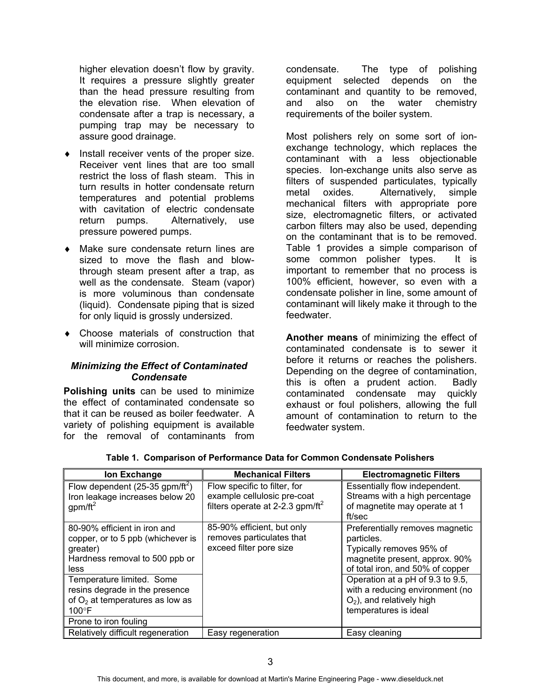higher elevation doesn't flow by gravity. It requires a pressure slightly greater than the head pressure resulting from the elevation rise. When elevation of condensate after a trap is necessary, a pumping trap may be necessary to assure good drainage.

- ♦ Install receiver vents of the proper size. Receiver vent lines that are too small restrict the loss of flash steam. This in turn results in hotter condensate return temperatures and potential problems with cavitation of electric condensate return pumps. Alternatively, use pressure powered pumps.
- ♦ Make sure condensate return lines are sized to move the flash and blowthrough steam present after a trap, as well as the condensate. Steam (vapor) is more voluminous than condensate (liquid). Condensate piping that is sized for only liquid is grossly undersized.
- ♦ Choose materials of construction that will minimize corrosion.

## *Minimizing the Effect of Contaminated Condensate*

**Polishing units** can be used to minimize the effect of contaminated condensate so that it can be reused as boiler feedwater. A variety of polishing equipment is available for the removal of contaminants from condensate. The type of polishing equipment selected depends on the contaminant and quantity to be removed, and also on the water chemistry requirements of the boiler system.

Most polishers rely on some sort of ionexchange technology, which replaces the contaminant with a less objectionable species. Ion-exchange units also serve as filters of suspended particulates, typically metal oxides. Alternatively, simple mechanical filters with appropriate pore size, electromagnetic filters, or activated carbon filters may also be used, depending on the contaminant that is to be removed. Table 1 provides a simple comparison of some common polisher types. It is important to remember that no process is 100% efficient, however, so even with a condensate polisher in line, some amount of contaminant will likely make it through to the feedwater.

**Another means** of minimizing the effect of contaminated condensate is to sewer it before it returns or reaches the polishers. Depending on the degree of contamination, this is often a prudent action. Badly contaminated condensate may quickly exhaust or foul polishers, allowing the full amount of contamination to return to the feedwater system.

| Ion Exchange                                                                                                                                 | <b>Mechanical Filters</b>                                                                                   | <b>Electromagnetic Filters</b>                                                                                                                  |
|----------------------------------------------------------------------------------------------------------------------------------------------|-------------------------------------------------------------------------------------------------------------|-------------------------------------------------------------------------------------------------------------------------------------------------|
| Flow dependent $(25-35$ gpm/ft <sup>2</sup> )<br>Iron leakage increases below 20<br>gpm/ $ft^2$                                              | Flow specific to filter, for<br>example cellulosic pre-coat<br>filters operate at 2-2.3 gpm/ft <sup>2</sup> | Essentially flow independent.<br>Streams with a high percentage<br>of magnetite may operate at 1<br>ft/sec                                      |
| 80-90% efficient in iron and<br>copper, or to 5 ppb (whichever is<br>greater)<br>Hardness removal to 500 ppb or<br>less                      | 85-90% efficient, but only<br>removes particulates that<br>exceed filter pore size                          | Preferentially removes magnetic<br>particles.<br>Typically removes 95% of<br>magnetite present, approx. 90%<br>of total iron, and 50% of copper |
| Temperature limited. Some<br>resins degrade in the presence<br>of $O2$ at temperatures as low as<br>$100^{\circ}$ F<br>Prone to iron fouling |                                                                                                             | Operation at a pH of 9.3 to 9.5,<br>with a reducing environment (no<br>$O2$ ), and relatively high<br>temperatures is ideal                     |
| Relatively difficult regeneration                                                                                                            | Easy regeneration                                                                                           | Easy cleaning                                                                                                                                   |

## **Table 1. Comparison of Performance Data for Common Condensate Polishers**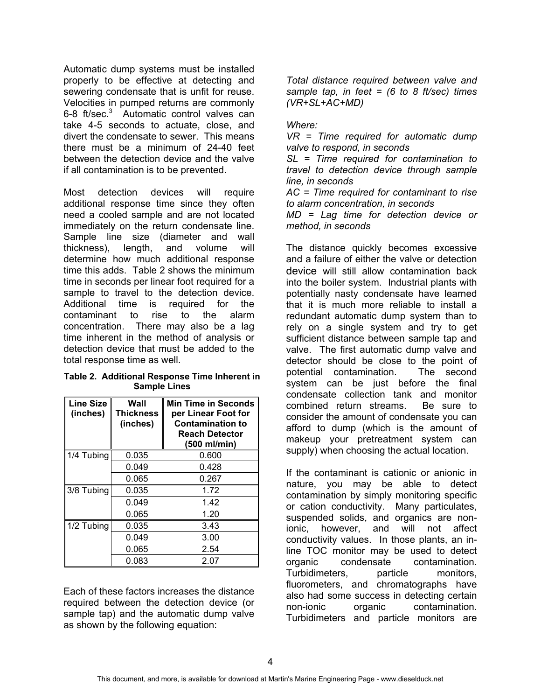Automatic dump systems must be installed properly to be effective at detecting and sewering condensate that is unfit for reuse. Velocities in pumped returns are commonly 6-8 ft/sec.<sup>3</sup> Automatic control valves can take 4-5 seconds to actuate, close, and divert the condensate to sewer. This means there must be a minimum of 24-40 feet between the detection device and the valve if all contamination is to be prevented.

Most detection devices will require additional response time since they often need a cooled sample and are not located immediately on the return condensate line. Sample line size (diameter and wall thickness), length, and volume will determine how much additional response time this adds. Table 2 shows the minimum time in seconds per linear foot required for a sample to travel to the detection device. Additional time is required for the contaminant to rise to the alarm concentration. There may also be a lag time inherent in the method of analysis or detection device that must be added to the total response time as well.

#### **Table 2. Additional Response Time Inherent in Sample Lines**

| <b>Line Size</b><br>(inches) | Wall<br><b>Thickness</b><br>(inches) | <b>Min Time in Seconds</b><br>per Linear Foot for<br><b>Contamination to</b><br><b>Reach Detector</b><br>(500 ml/min) |
|------------------------------|--------------------------------------|-----------------------------------------------------------------------------------------------------------------------|
| 1/4 Tubing                   | 0.035                                | 0.600                                                                                                                 |
|                              | 0.049                                | 0.428                                                                                                                 |
|                              | 0.065                                | 0.267                                                                                                                 |
| 3/8 Tubing                   | 0.035                                | 1.72                                                                                                                  |
|                              | 0.049                                | 1.42                                                                                                                  |
|                              | 0.065                                | 1.20                                                                                                                  |
| 1/2 Tubing                   | 0.035                                | 3.43                                                                                                                  |
|                              | 0.049                                | 3.00                                                                                                                  |
|                              | 0.065                                | 2.54                                                                                                                  |
|                              | 0.083                                | 2.07                                                                                                                  |

Each of these factors increases the distance required between the detection device (or sample tap) and the automatic dump valve as shown by the following equation:

*Total distance required between valve and sample tap, in feet = (6 to 8 ft/sec) times (VR+SL+AC+MD)*

## *Where:*

*VR = Time required for automatic dump valve to respond, in seconds*

*SL = Time required for contamination to travel to detection device through sample line, in seconds*

*AC = Time required for contaminant to rise to alarm concentration, in seconds*

*MD = Lag time for detection device or method, in seconds*

The distance quickly becomes excessive and a failure of either the valve or detection device will still allow contamination back into the boiler system. Industrial plants with potentially nasty condensate have learned that it is much more reliable to install a redundant automatic dump system than to rely on a single system and try to get sufficient distance between sample tap and valve. The first automatic dump valve and detector should be close to the point of potential contamination. The second system can be just before the final condensate collection tank and monitor combined return streams. Be sure to consider the amount of condensate you can afford to dump (which is the amount of makeup your pretreatment system can supply) when choosing the actual location.

If the contaminant is cationic or anionic in nature, you may be able to detect contamination by simply monitoring specific or cation conductivity. Many particulates, suspended solids, and organics are nonionic, however, and will not affect conductivity values. In those plants, an inline TOC monitor may be used to detect organic condensate contamination. Turbidimeters, particle monitors, fluorometers, and chromatographs have also had some success in detecting certain non-ionic organic contamination. Turbidimeters and particle monitors are